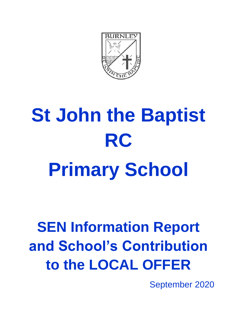

# **St John the Baptist RC Primary School**

## **SEN Information Report and School's Contribution to the LOCAL OFFER**

September 2020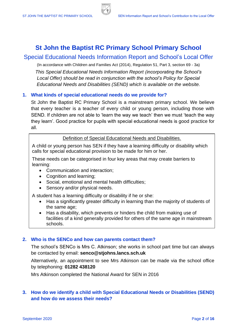## **St John the Baptist RC Primary School Primary School**

### Special Educational Needs Information Report and School's Local Offer

(In accordance with Children and Families Act (2014), Regulation 51, Part 3, section 69 - 3a)

*This Special Educational Needs Information Report (incorporating the School's Local Offer) should be read in conjunction with the school's Policy for Special Educational Needs and Disabilities (SEND) which is available on the website.*

#### **1. What kinds of special educational needs do we provide for?**

St John the Baptist RC Primary School is a mainstream primary school. We believe that every teacher is a teacher of every child or young person, including those with SEND. If children are not able to 'learn the way we teach' then we must 'teach the way they learn'. Good practice for pupils with special educational needs is good practice for all.

#### Definition of Special Educational Needs and Disabilities.

A child or young person has SEN if they have a learning difficulty or disability which calls for special educational provision to be made for him or her.

These needs can be categorised in four key areas that may create barriers to learning:

- Communication and interaction;
- Cognition and learning;
- Social, emotional and mental health difficulties;
- Sensory and/or physical needs.

A student has a learning difficulty or disability if he or she:

- Has a significantly greater difficulty in learning than the majority of students of the same age;
- Has a disability, which prevents or hinders the child from making use of facilities of a kind generally provided for others of the same age in mainstream schools.

#### **2. Who is the SENCo and how can parents contact them?**

The school's SENCo is Mrs C. Atkinson; she works in school part time but can always be contacted by email: **senco@stjohns.lancs.sch.uk**

Alternatively, an appointment to see Mrs Atkinson can be made via the school office by telephoning: **01282 438120**

Mrs Atkinson completed the National Award for SEN in 2016

#### **3. How do we identify a child with Special Educational Needs or Disabilities (SEND) and how do we assess their needs?**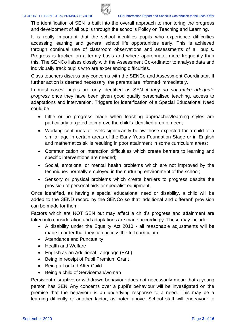

The identification of SEN is built into the overall approach to monitoring the progress and development of all pupils through the school's Policy on Teaching and Learning.

It is really important that the school identifies pupils who experience difficulties accessing learning and general school life opportunities early. This is achieved through continual use of classroom observations and assessments of all pupils. Progress is tracked on a termly basis and where appropriate, more frequently than this. The SENCo liaises closely with the Assessment Co-ordinator to analyse data and individually track pupils who are experiencing difficulties.

Class teachers discuss any concerns with the SENCo and Assessment Coordinator. If further action is deemed necessary, the parents are informed immediately.

In most cases, pupils are only identified as SEN *if they do not make adequate progress* once they have been given good quality personalised teaching, access to adaptations and intervention. Triggers for identification of a Special Educational Need could be:

- Little or no progress made when teaching approaches/learning styles are particularly targeted to improve the child's identified area of need;
- Working continues at levels significantly below those expected for a child of a similar age in certain areas of the Early Years Foundation Stage or in English and mathematics skills resulting in poor attainment in some curriculum areas;
- Communication or interaction difficulties which create barriers to learning and specific interventions are needed;
- Social, emotional or mental health problems which are not improved by the techniques normally employed in the nurturing environment of the school;
- Sensory or physical problems which create barriers to progress despite the provision of personal aids or specialist equipment.

Once identified, as having a special educational need or disability, a child will be added to the SEND record by the SENCo so that 'additional and different' provision can be made for them.

Factors which are NOT SEN but may affect a child's progress and attainment are taken into consideration and adaptations are made accordingly. These may include:

- A disability under the Equality Act 2010 all reasonable adjustments will be made in order that they can access the full curriculum.
- Attendance and Punctuality
- Health and Welfare
- English as an Additional Language (EAL)
- Being in receipt of Pupil Premium Grant
- Being a Looked After Child
- Being a child of Serviceman/woman

Persistent disruptive or withdrawn behaviour does not necessarily mean that a young person has SEN. Any concerns over a pupil's behaviour will be investigated on the premise that the behaviour is an underlying response to a need. This may be a learning difficulty or another factor, as noted above. School staff will endeavour to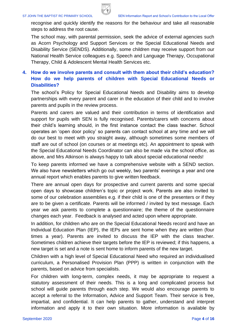

recognise and quickly identify the reasons for the behaviour and take all reasonable steps to address the root cause.

The school may, with parental permission, seek the advice of external agencies such as Acorn Psychology and Support Services or the Special Educational Needs and Disability Service (SENDS). Additionally, some children may receive support from our National Health Service colleagues e.g. Speech and Language Therapy, Occupational Therapy, Child & Adolescent Mental Health Services etc.

#### **4. How do we involve parents and consult with them about their child's education? How do we help parents of children with Special Educational Needs or Disabilities?**

The school's Policy for Special Educational Needs and Disability aims to develop partnerships with every parent and carer in the education of their child and to involve parents and pupils in the review process.

Parents and carers are valued and their contribution in terms of identification and support for pupils with SEN is fully recognised. Parents/carers with concerns about their child's learning should, in the first instance contact the class teacher. School operates an 'open door policy' so parents can contact school at any time and we will do our best to meet with you straight away, although sometimes some members of staff are out of school (on courses or at meetings etc). An appointment to speak with the Special Educational Needs Coordinator can also be made via the school office, as above, and Mrs Atkinson is always happy to talk about special educational needs!

To keep parents informed we have a comprehensive website with a SEND section. We also have newsletters which go out weekly, two parents' evenings a year and one annual report which enables parents to give written feedback.

There are annual open days for prospective and current parents and some special open days to showcase children's topic or project work. Parents are also invited to some of our celebration assemblies e.g. if their child is one of the presenters or if they are to be given a certificate. Parents will be informed / invited by text message. Each year we ask parents to complete a questionnaire; the theme of the questionnaire changes each year. Feedback is analysed and acted upon where appropriate.

In addition, for children who are on the Special Educational Needs record and have an Individual Education Plan (IEP), the IEPs are sent home when they are written (four times a year). Parents are invited to discuss the IEP with the class teacher. Sometimes children achieve their targets before the IEP is reviewed; if this happens, a new target is set and a note is sent home to inform parents of the new target.

Children with a high level of Special Educational Need who required an individualised curriculum, a Personalised Provision Plan (PPP) is written in conjunction with the parents, based on advice from specialists.

For children with long-term, complex needs, it may be appropriate to request a statutory assessment of their needs. This is a long and complicated process but school will guide parents through each step. We would also encourage parents to accept a referral to the Information, Advice and Support Team. Their service is free, impartial, and confidential. It can help parents to gather, understand and interpret information and apply it to their own situation. More information is available by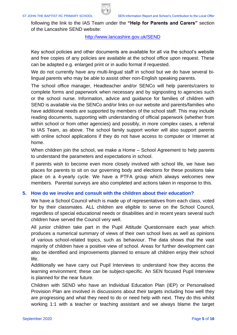

following the link to the IAS Team under the **"Help for Parents and Carers"** section of the Lancashire SEND website:

#### <http://www.lancashire.gov.uk/SEND>

Key school policies and other documents are available for all via the school's website and free copies of any policies are available at the school office upon request. These can be adapted e.g. enlarged print or in audio format if requested.

We do not currently have any multi-lingual staff in school but we do have several bilingual parents who may be able to assist other non-English speaking parents.

The school office manager, Headteacher and/or SENCo will help parents/carers to complete forms and paperwork when necessary and by signposting to agencies such or the school nurse. Information, advice and guidance for families of children with SEND is available via the SENCo and/or links on our website and parents/families who have additional needs are supported by members of the school staff. This may include reading documents, supporting with understanding of official paperwork (whether from within school or from other agencies) and possibly, in more complex cases, a referral to IAS Team, as above. The school family support worker will also support parents with online school applications if they do not have access to computer or Internet at home.

When children join the school, we make a Home – School Agreement to help parents to understand the parameters and expectations in school.

If parents wish to become even more closely involved with school life, we have two places for parents to sit on our governing body and elections for these positions take place on a 4-yearly cycle. We have a PTFA group which always welcomes new members. Parental surveys are also completed and actions taken in response to this.

#### **5. How do we involve and consult with the children about their education?**

We have a School Council which is made up of representatives from each class, voted for by their classmates. ALL children are eligible to serve on the School Council, regardless of special educational needs or disabilities and in recent years several such children have served the Council very well.

All junior children take part in the Pupil Attitude Questionnaire each year which produces a numerical summary of views of their own school lives as well as opinions of various school-related topics, such as behaviour. The data shows that the vast majority of children have a positive view of school. Areas for further development can also be identified and improvements planned to ensure all children enjoy their school life.

Additionally we have carry out Pupil Interviews to understand how they access the learning environment; these can be subject-specific. An SEN focused Pupil Interview is planned for the near future.

Children with SEND who have an Individual Education Plan (IEP) or Personalised Provision Plan are involved in discussions about their targets including how well they are progressing and what they need to do or need help with next. They do this whilst working 1:1 with a teacher or teaching assistant and we always blame the target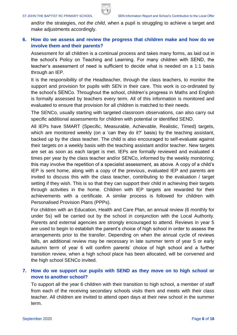

and/or the strategies, *not the child*, when a pupil is struggling to achieve a target and make adjustments accordingly.

#### **6. How do we assess and review the progress that children make and how do we involve them and their parents?**

Assessment for all children is a continual process and takes many forms, as laid out in the school's Policy on Teaching and Learning. For many children with SEND, the teacher's assessment of need is sufficient to decide what is needed on a 1:1 basis through an IEP.

It is the responsibility of the Headteacher, through the class teachers, to monitor the support and provision for pupils with SEN in their care. This work is co-ordinated by the school's SENCo. Throughout the school, children's progress in Maths and English is formally assessed by teachers every term. All of this information is monitored and evaluated to ensure that provision for all children is matched to their needs.

The SENCo, usually starting with targeted classroom observations, can also carry out specific additional assessments for children with potential or identified SEND.

All IEPs have SMART (Specific, Measurable, Achievable, Realistic, Timed) targets, which are monitored weekly (on a 'can they do it?' basis) by the teaching assistant, backed up by the class teacher. The child is also encouraged to self-evaluate against their targets on a weekly basis with the teaching assistant and/or teacher. New targets are set as soon as each target is met. IEPs are formally reviewed and evaluated 4 times per year by the class teacher and/or SENCo, informed by the weekly monitoring; this may involve the repetition of a specialist assessment, as above. A copy of a child's IEP is sent home, along with a copy of the previous, evaluated IEP and parents are invited to discuss this with the class teacher, contributing to the evaluation / target setting if they wish. This is so that they can support their child in achieving their targets through activities in the home. Children with IEP targets are rewarded for their achievements with a certificate. A similar process is followed for children with Personalised Provision Plans (PPPs).

For children with an Education, Health and Care Plan, an annual review (6 monthly for under 5s) will be carried out by the school in conjunction with the Local Authority. Parents and external agencies are strongly encouraged to attend. Reviews in year 5 are used to begin to establish the parent's choice of high school in order to assess the arrangements prior to the transfer. Depending on when the annual cycle of reviews falls, an additional review may be necessary in late summer term of year 5 or early autumn term of year 6 will confirm parents' choice of high school and a further transition review, when a high school place has been allocated, will be convened and the high school SENCo invited.

#### **7. How do we support our pupils with SEND as they move on to high school or move to another school?**

To support all the year 6 children with their transition to high school, a member of staff from each of the receiving secondary schools visits them and meets with their class teacher. All children are invited to attend open days at their new school in the summer term.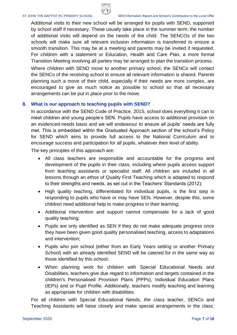

Additional visits to their new school will be arranged for pupils with SEND, supported by school staff if necessary. These usually take place in the summer term; the number of additional visits will depend on the needs of the child. The SENCOs of the two schools will make sure all relevant inclusion information is transferred to ensure a smooth transition. This may be at a meeting and parents may be invited if requested. For children with a statement or Education, Health and Care Plan, a more formal Transition Meeting involving all parties may be arranged to plan the transition process.

Where children with SEND move to another primary school, the SENCo will contact the SENCo of the receiving school to ensure all relevant information is shared. Parents planning such a move of their child, especially if their needs are more complex, are encouraged to give as much notice as possible to school so that all necessary arrangements can be put in place prior to the move.

#### **8. What is our approach to teaching pupils with SEND?**

In accordance with the SEND Code of Practice, 2015, school does everything it can to meet children and young people's SEN. Pupils have access to additional provision on an evidenced-needs basis and we will endeavour to ensure all pupils' needs are fully met. This is embedded within the Graduated Approach section of the school's Policy for SEND which aims to provide full access to the National Curriculum and to encourage success and participation for all pupils, whatever their level of ability.

The key principles of this approach are:

- All class teachers are responsible and accountable for the progress and development of the pupils in their class, including where pupils access support from teaching assistants or specialist staff. All children are included in all lessons through an ethos of Quality First Teaching which is adapted to respond to their strengths and needs, as set out in the Teachers' Standards (2012);
- High quality teaching, differentiated for individual pupils, is the first step in responding to pupils who have or may have SEN. However, despite this, some children need additional help to make progress in their learning;
- Additional intervention and support cannot compensate for a lack of good quality teaching;
- Pupils are only identified as SEN if they do not make adequate progress once they have been given good quality personalised teaching, access to adaptations and intervention;
- Pupils who join school (either from an Early Years setting or another Primary School) with an already identified SEND will be catered for in the same way as those identified by this school;
- When planning work for children with Special Educational Needs and Disabilities, teachers give due regard to information and targets contained in the children's Personalised Provision Plans (PPPs), Individual Education Plans (IEPs) and or Pupil Profile. Additionally, teachers modify teaching and learning as appropriate for children with disabilities.

For all children with Special Educational Needs, the class teacher, SENCo and Teaching Assistants will liaise closely and make special arrangements in the class.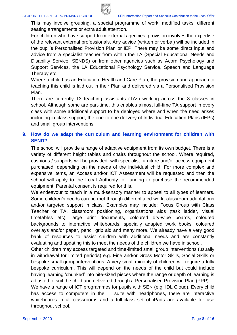

This may involve grouping, a special programme of work, modified tasks, different seating arrangements or extra adult attention.

For children who have support from external agencies, provision involves the expertise of the relevant external professionals. Any advice (written or verbal) will be included in the pupil's Personalised Provision Plan or IEP. There may be some direct input and advice from a specialist teacher from within the LA (Special Educational Needs and Disability Service, SENDS) or from other agencies such as Acorn Psychology and Support Services, the LA Educational Psychology Service, Speech and Language Therapy etc.

Where a child has an Education, Health and Care Plan, the provision and approach to teaching this child is laid out in their Plan and delivered via a Personalised Provision Plan.

There are currently 13 teaching assistants (TAs) working across the 8 classes in school. Although some are part-time, this enables almost full-time TA support in every class with some additional support to be deployed where and when the need arises including in-class support, the one-to-one delivery of Individual Education Plans (IEPs) and small group interventions.

#### **9. How do we adapt the curriculum and learning environment for children with SEND?**

The school will provide a range of adaptive equipment from its own budget. There is a variety of different height tables and chairs throughout the school. Where required, cushions / supports will be provided, with specialist furniture and/or access equipment purchased, depending on the needs of the individual child. For more complex and expensive items, an Access and/or ICT Assessment will be requested and then the school will apply to the Local Authority for funding to purchase the recommended equipment. Parental consent is required for this.

We endeavour to teach in a multi-sensory manner to appeal to all types of learners. Some children's needs can be met through differentiated work, classroom adaptations and/or targeted support in class. Examples may include: Focus Group with Class Teacher or TA, classroom positioning, organisations aids (task ladder, visual timetables etc), large print documents, coloured dry-wipe boards, coloured backgrounds to interactive whiteboards, specially adapted work books, coloured overlays and/or paper, pencil grip aid and many more. We already have a very good bank of resources to assist children with additional needs and are constantly evaluating and updating this to meet the needs of the children we have in school.

Other children may access targeted and time-limited small group interventions (usually in withdrawal for limited periods) e.g. Fine and/or Gross Motor Skills, Social Skills or bespoke small group interventions. A very small minority of children will require a fully bespoke curriculum. This will depend on the needs of the child but could include having learning 'chunked' into bite-sized pieces where the range or depth of learning is adjusted to suit the child and delivered through a Personalised Provision Plan (PPP).

We have a range of ICT programmes for pupils with SEN (e.g. IDL Cloud). Every child has access to computers in the IT suite with headphones, there are interactive whiteboards in all classrooms and a full-class set of iPads are available for use throughout school.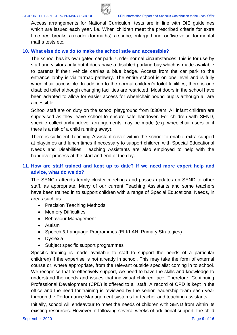

Access arrangements for National Curriculum tests are in line with DfE guidelines which are issued each year. i.e. When children meet the prescribed criteria for extra time, rest breaks, a reader (for maths), a scribe, enlarged print or 'live voice' for mental maths tests etc.

#### **10. What else do we do to make the school safe and accessible?**

The school has its own gated car park. Under normal circumstances, this is for use by staff and visitors only but it does have a disabled parking bay which is made available to parents if their vehicle carries a blue badge. Access from the car park to the entrance lobby is via tarmac pathway. The entire school is on one level and is fully wheelchair accessible. In addition to the normal children's toilet facilities, there is one disabled toilet although changing facilities are restricted. Most doors in the school have been adapted to allow for easier access for wheelchair bound pupils although all are accessible.

School staff are on duty on the school playground from 8:30am. All infant children are supervised as they leave school to ensure safe handover. For children with SEND, specific collection/handover arrangements may be made (e.g. wheelchair users or if there is a risk of a child running away).

There is sufficient Teaching Assistant cover within the school to enable extra support at playtimes and lunch times if necessary to support children with Special Educational Needs and Disabilities. Teaching Assistants are also employed to help with the handover process at the start and end of the day.

#### **11. How are staff trained and kept up to date? If we need more expert help and advice, what do we do?**

The SENCo attends termly cluster meetings and passes updates on SEND to other staff, as appropriate. Many of our current Teaching Assistants and some teachers have been trained in to support children with a range of Special Educational Needs, in areas such as:

- Precision Teaching Methods
- Memory Difficulties
- Behaviour Management
- Autism
- Speech & Language Programmes (ELKLAN, Primary Strategies)
- Dyslexia
- Subject specific support programmes

Specific training is made available to staff to support the needs of a particular child(ren) if the expertise is not already in school. This may take the form of external course or, where appropriate, from the relevant outside specialist coming in to school. We recognise that to effectively support, we need to have the skills and knowledge to understand the needs and issues that individual children face. Therefore, Continuing Professional Development (CPD) is offered to all staff. A record of CPD is kept in the office and the need for training is reviewed by the senior leadership team each year through the Performance Management systems for teacher and teaching assistants.

Initially, school will endeavour to meet the needs of children with SEND from within its existing resources. However, if following several weeks of additional support, the child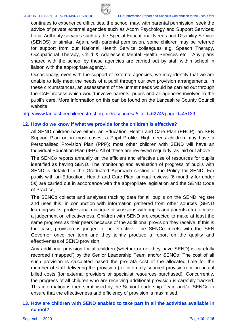

continues to experience difficulties, the school may, with parental permission, seek the advice of private external agencies such as Acorn Psychology and Support Services; Local Authority services such as the Special Educational Needs and Disability Service (SENDS) or similar. Again, with parental permission, some children may be referred for support from our National Health Service colleagues e.g. Speech Therapy, Occupational Therapy, Child & Adolescent Mental Health Services etc. Any plans shared with the school by these agencies are carried out by staff within school in liaison with the appropriate agency.

Occasionally, even with the support of external agencies, we may identify that we are unable to fully meet the needs of a pupil through our own provision arrangements. In these circumstances, an assessment of the unmet needs would be carried out through the CAF process which would involve parents, pupils and all agencies involved in the pupil's care. More information on this can be found on the Lancashire County Council website:

<http://www.lancashirechildrenstrust.org.uk/resources/?siteid=6274&pageid=45139>

#### **12. How do we know if what we provide for the children is effective?**

All SEND children have either: an Education, Health and Care Plan (EHCP); an SEN Support Plan or, in most cases, a Pupil Profile. High needs children may have a Personalised Provision Plan (PPP); most other children with SEND will have an Individual Education Plan (IEP). All of these are reviewed regularly, as laid out above.

The SENCo reports annually on the efficient and effective use of resources for pupils identified as having SEND. The monitoring and evaluation of progress of pupils with SEND is detailed in the Graduated Approach section of the Policy for SEND. For pupils with an Education, Health and Care Plan, annual reviews (6 monthly for under 5s) are carried out in accordance with the appropriate legislation and the SEND Code of Practice;

The SENCo collects and analyses tracking data for all pupils on the SEND register and uses this, in conjunction with information gathered from other sources (SEND learning walks, professional dialogue, discussions with pupils and parents etc) to make a judgement on effectiveness. Children with SEND are expected to make at least the same progress as their peers because of the additional provision they receive. If this is the case, provision is judged to be effective. The SENCo meets with the SEN Governor once per term and they jointly produce a report on the quality and effectiveness of SEND provision.

Any additional provision for all children (whether or not they have SEND) is carefully recorded ('mapped') by the Senior Leadership Team and/or SENCo. The cost of all such provision is calculated based the pro-rata cost of the allocated time for the member of staff delivering the provision (for internally sourced provision) or on actual billed costs (for external providers or specialist resources purchased). Concurrently, the progress of all children who are receiving additional provision is carefully tracked. This information is then scrutinised by the Senior Leadership Team and/or SENCo to ensure that the effectiveness and efficiency of provision is maximised.

#### **13. How are children with SEND enabled to take part in all the activities available in school?**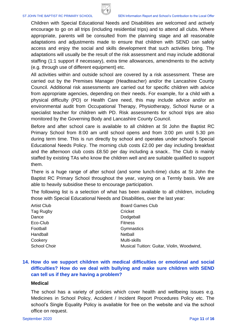

#### ST JOHN THE BAPTIST RC PRIMARY SCHOOL SEN Information Report and School's Contribution to the Local Offer

Children with Special Educational Needs and Disabilities are welcomed and actively encourage to go on all trips (including residential trips) and to attend all clubs. Where appropriate, parents will be consulted from the planning stage and all reasonable adaptations and adjustments made to ensure that children with SEND can safely access and enjoy the social and skills development that such activities bring. The adaptations will usually be the result of the risk assessment and may include additional staffing (1:1 support if necessary), extra time allowances, amendments to the activity (e.g. through use of different equipment) etc.

All activities within and outside school are covered by a risk assessment. These are carried out by the Premises Manager (Headteacher) and/or the Lancashire County Council. Additional risk assessments are carried out for specific children with advice from appropriate agencies, depending on their needs. For example, for a child with a physical difficulty (PD) or Health Care need, this may include advice and/or an environmental audit from Occupational Therapy, Physiotherapy, School Nurse or a specialist teacher for children with PD. Risk assessments for school trips are also monitored by the Governing Body and Lancashire County Council.

Before and after school care is available to all children at St John the Baptist RC Primary School from 8:00 am until school opens and from 3:00 pm until 5.30 pm during term time. This is run directly by school and operates under school's Special Educational Needs Policy. The morning club costs £2.00 per day including breakfast and the afternoon club costs £8.50 per day including a snack.. The Club is mainly staffed by existing TAs who know the children well and are suitable qualified to support them.

There is a huge range of after school (and some lunch-time) clubs at St John the Baptist RC Primary School throughout the year, varying on a Termly basis. We are able to heavily subsidise these to encourage participation.

The following list is a selection of what has been available to all children, including those with Special Educational Needs and Disabilities, over the last year:

| <b>Artist Club</b>  | <b>Board Games Club</b>                    |
|---------------------|--------------------------------------------|
| Tag Rugby           | Cricket                                    |
| Dance               | Dodgeball                                  |
| Eco-Club            | <b>Fitness</b>                             |
| Football            | Gymnastics                                 |
| Handball            | <b>Netball</b>                             |
| Cookery             | Multi-skills                               |
| <b>School Choir</b> | Musical Tuition: Guitar, Violin, Woodwind, |

#### **14. How do we support children with medical difficulties or emotional and social difficulties? How do we deal with bullying and make sure children with SEND can tell us if they are having a problem?**

#### **Medical**

The school has a variety of policies which cover health and wellbeing issues e.g. Medicines in School Policy, Accident / Incident Report Procedures Policy etc. The school's Single Equality Policy is available for free on the website and via the school office on request.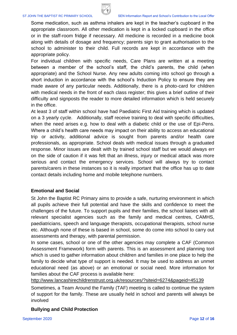

Some medication, such as asthma inhalers are kept in the teacher's cupboard in the appropriate classroom. All other medication is kept in a locked cupboard in the office or in the staff-room fridge if necessary. All medicine is recorded in a medicine book along with details of dosage and frequency; parents sign to grant authorisation to the school to administer to their child. Full records are kept in accordance with the appropriate policy.

For individual children with specific needs, Care Plans are written at a meeting between a member of the school's staff, the child's parents, the child (when appropriate) and the School Nurse. Any new adults coming into school go through a short induction in accordance with the school's Induction Policy to ensure they are made aware of any particular needs. Additionally, there is a photo-card for children with medical needs in the front of each class register; this gives a brief outline of their difficulty and signposts the reader to more detailed information which is held securely in the office.

At least 3 of staff within school have had Paediatric First Aid training which is updated on a 3 yearly cycle. Additionally, staff receive training to deal with specific difficulties, when the need arises e.g. how to deal with a diabetic child or the use of Epi-Pens. Where a child's health care needs may impact on their ability to access an educational trip or activity, additional advice is sought from parents and/or health care professionals, as appropriate. School deals with medical issues through a graduated response. Minor issues are dealt with by trained school staff but we would always err on the side of caution if it was felt that an illness, injury or medical attack was more serious and contact the emergency services. School will always try to contact parents/carers in these instances so it is really important that the office has up to date contact details including home and mobile telephone numbers.

#### **Emotional and Social**

St John the Baptist RC Primary aims to provide a safe, nurturing environment in which all pupils achieve their full potential and have the skills and confidence to meet the challenges of the future. To support pupils and their families, the school liaises with all relevant specialist agencies such as the family and medical centres, CAMHS, paediatricians, speech and language therapists, occupational therapists, school nurse etc. Although none of these is based in school, some do come into school to carry out assessments and therapy, with parental permission.

In some cases, school or one of the other agencies may complete a CAF (Common Assessment Framework) form with parents. This is an assessment and planning tool which is used to gather information about children and families in one place to help the family to decide what type of support is needed. It may be used to address an unmet educational need (as above) or an emotional or social need. More information for families about the CAF process is available here:

<http://www.lancashirechildrenstrust.org.uk/resources/?siteid=6274&pageid=45139>

Sometimes, a Team Around the Family (TAF) meeting is called to continue the system of support for the family. These are usually held in school and parents will always be involved

#### **Bullying and Child Protection**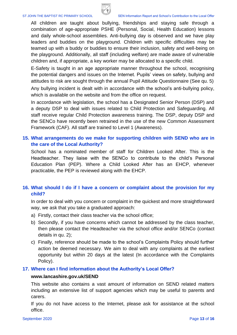

All children are taught about bullying, friendships and staying safe through a combination of age-appropriate PSHE (Personal, Social, Health Education) lessons and daily whole-school assemblies. Anti-bullying day is observed and we have play leaders and buddies on the playground. Children with specific difficulties may be teamed up with a buddy or buddies to ensure their inclusion, safety and well-being on the playground. Additionally, all staff (including welfare) are made aware of vulnerable children and, if appropriate, a key worker may be allocated to a specific child.

E-Safety is taught in an age appropriate manner throughout the school, recognising the potential dangers and issues on the Internet. Pupils' views on safety, bullying and attitudes to risk are sought through the annual Pupil Attitude Questionnaire (See qu. 5)

Any bullying incident is dealt with in accordance with the school's anti-bullying policy, which is available on the website and from the office on request.

In accordance with legislation, the school has a Designated Senior Person (DSP) and a deputy DSP to deal with issues related to Child Protection and Safeguarding. All staff receive regular Child Protection awareness training. The DSP, deputy DSP and the SENCo have recently been retrained in the use of the new Common Assessment Framework (CAF). All staff are trained to Level 1 (Awareness).

#### **15. What arrangements do we make for supporting children with SEND who are in the care of the Local Authority?**

School has a nominated member of staff for Children Looked After. This is the Headteacher. They liaise with the SENCo to contribute to the child's Personal Education Plan (PEP). Where a Child Looked After has an EHCP, whenever practicable, the PEP is reviewed along with the EHCP.

#### **16. What should I do if I have a concern or complaint about the provision for my child?**

In order to deal with you concern or complaint in the quickest and more straightforward way, we ask that you take a graduated approach:

- a) Firstly, contact their class teacher via the school office;
- b) Secondly, if you have concerns which cannot be addressed by the class teacher, then please contact the Headteacher via the school office and/or SENCo (contact details in qu. 2);
- c) Finally, reference should be made to the school's Complaints Policy should further action be deemed necessary. We aim to deal with any complaints at the earliest opportunity but within 20 days at the latest (In accordance with the Complaints Policy).

#### **17. Where can I find information about the Authority's Local Offer?**

#### **[www.lancashire.gov.uk/SEND](http://www.lancashire.gov.uk/SEND)**

This website also contains a vast amount of information on SEND related matters including an extensive list of support agencies which may be useful to parents and carers.

If you do not have access to the Internet, please ask for assistance at the school office.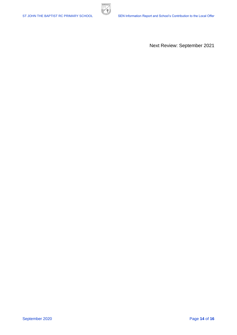

Next Review: September 2021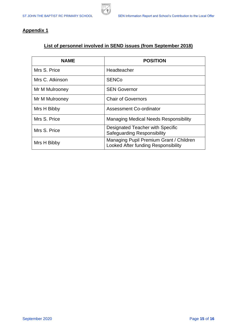

#### **Appendix 1**

### **List of personnel involved in SEND issues (from September 2018)**

**BURNLE** 军

| <b>NAME</b>     | <b>POSITION</b>                                                                |
|-----------------|--------------------------------------------------------------------------------|
| Mrs S. Price    | Headteacher                                                                    |
| Mrs C. Atkinson | <b>SENCo</b>                                                                   |
| Mr M Mulrooney  | <b>SEN Governor</b>                                                            |
| Mr M Mulrooney  | <b>Chair of Governors</b>                                                      |
| Mrs H Bibby     | <b>Assessment Co-ordinator</b>                                                 |
| Mrs S. Price    | <b>Managing Medical Needs Responsibility</b>                                   |
| Mrs S. Price    | Designated Teacher with Specific<br><b>Safeguarding Responsibility</b>         |
| Mrs H Bibby     | Managing Pupil Premium Grant / Children<br>Looked After funding Responsibility |